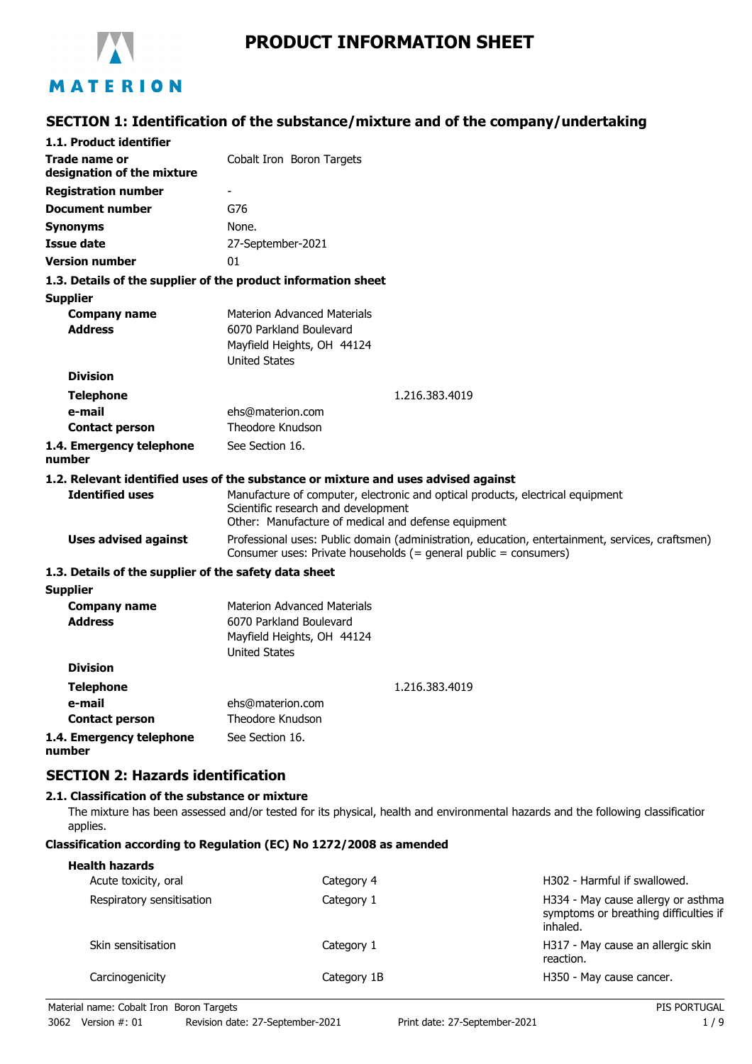

# **PRODUCT INFORMATION SHEET**

# **SECTION 1: Identification of the substance/mixture and of the company/undertaking**

| 1.1. Product identifier                               |                                                                                                                                                                        |  |
|-------------------------------------------------------|------------------------------------------------------------------------------------------------------------------------------------------------------------------------|--|
| Trade name or                                         | Cobalt Iron Boron Targets                                                                                                                                              |  |
| designation of the mixture                            |                                                                                                                                                                        |  |
| <b>Registration number</b>                            |                                                                                                                                                                        |  |
| <b>Document number</b>                                | G76                                                                                                                                                                    |  |
| <b>Synonyms</b>                                       | None.                                                                                                                                                                  |  |
| <b>Issue date</b>                                     | 27-September-2021                                                                                                                                                      |  |
| <b>Version number</b>                                 | 01                                                                                                                                                                     |  |
|                                                       | 1.3. Details of the supplier of the product information sheet                                                                                                          |  |
| <b>Supplier</b>                                       |                                                                                                                                                                        |  |
| <b>Company name</b>                                   | <b>Materion Advanced Materials</b>                                                                                                                                     |  |
| <b>Address</b>                                        | 6070 Parkland Boulevard                                                                                                                                                |  |
|                                                       | Mayfield Heights, OH 44124                                                                                                                                             |  |
|                                                       | <b>United States</b>                                                                                                                                                   |  |
| <b>Division</b>                                       |                                                                                                                                                                        |  |
| <b>Telephone</b>                                      | 1.216.383.4019                                                                                                                                                         |  |
| e-mail                                                | ehs@materion.com<br><b>Theodore Knudson</b>                                                                                                                            |  |
| <b>Contact person</b>                                 |                                                                                                                                                                        |  |
| 1.4. Emergency telephone<br>number                    | See Section 16.                                                                                                                                                        |  |
|                                                       | 1.2. Relevant identified uses of the substance or mixture and uses advised against                                                                                     |  |
| <b>Identified uses</b>                                | Manufacture of computer, electronic and optical products, electrical equipment                                                                                         |  |
|                                                       | Scientific research and development                                                                                                                                    |  |
|                                                       | Other: Manufacture of medical and defense equipment                                                                                                                    |  |
| <b>Uses advised against</b>                           | Professional uses: Public domain (administration, education, entertainment, services, craftsmen)<br>Consumer uses: Private households $(=$ general public = consumers) |  |
| 1.3. Details of the supplier of the safety data sheet |                                                                                                                                                                        |  |
| <b>Supplier</b>                                       |                                                                                                                                                                        |  |
| <b>Company name</b>                                   | <b>Materion Advanced Materials</b>                                                                                                                                     |  |
| <b>Address</b>                                        | 6070 Parkland Boulevard                                                                                                                                                |  |
|                                                       | Mayfield Heights, OH 44124                                                                                                                                             |  |
| <b>Division</b>                                       | <b>United States</b>                                                                                                                                                   |  |
|                                                       |                                                                                                                                                                        |  |
| <b>Telephone</b>                                      | 1.216.383.4019                                                                                                                                                         |  |
| e-mail                                                | ehs@materion.com                                                                                                                                                       |  |
| <b>Contact person</b>                                 | Theodore Knudson                                                                                                                                                       |  |
| 1.4. Emergency telephone<br>number                    | See Section 16.                                                                                                                                                        |  |
| <b>SECTION 2: Hazards identification</b>              |                                                                                                                                                                        |  |
| 2.1. Classification of the substance or mixture       |                                                                                                                                                                        |  |

The mixture has been assessed and/or tested for its physical, health and environmental hazards and the following classification applies.

#### **Classification according to Regulation (EC) No 1272/2008 as amended**

| <b>Health hazards</b><br>Acute toxicity, oral | Category 4  | H302 - Harmful if swallowed.                                                            |
|-----------------------------------------------|-------------|-----------------------------------------------------------------------------------------|
| Respiratory sensitisation                     | Category 1  | H334 - May cause allergy or asthma<br>symptoms or breathing difficulties if<br>inhaled. |
| Skin sensitisation                            | Category 1  | H317 - May cause an allergic skin<br>reaction.                                          |
| Carcinogenicity                               | Category 1B | H350 - May cause cancer.                                                                |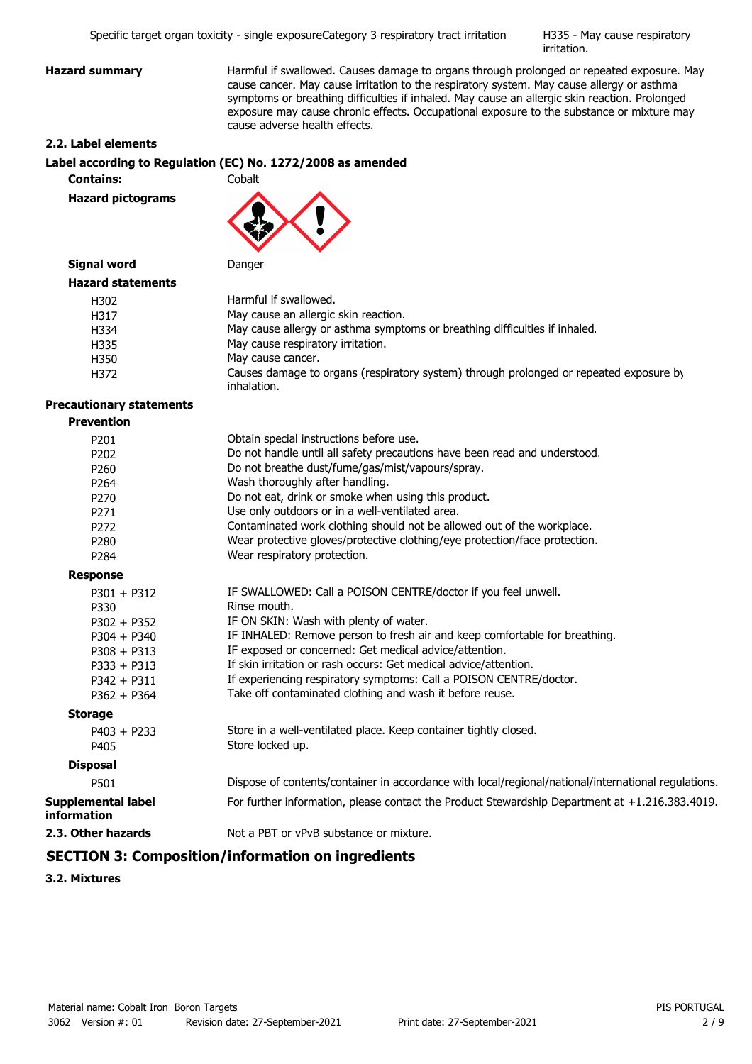H335 - May cause respiratory irritation.

**Hazard summary Harmful if swallowed. Causes damage to organs through prolonged or repeated exposure. May** cause cancer. May cause irritation to the respiratory system. May cause allergy or asthma symptoms or breathing difficulties if inhaled. May cause an allergic skin reaction. Prolonged exposure may cause chronic effects. Occupational exposure to the substance or mixture may cause adverse health effects.

#### **2.2. Label elements**

#### **Label according to Regulation (EC) No. 1272/2008 as amended**

**Contains:** Cobalt

**Hazard pictograms**



## **Signal word** Danger

| <b>Hazard statements</b> |                                                                                                       |
|--------------------------|-------------------------------------------------------------------------------------------------------|
| H302                     | Harmful if swallowed.                                                                                 |
| H317                     | May cause an allergic skin reaction.                                                                  |
| H334                     | May cause allergy or asthma symptoms or breathing difficulties if inhaled.                            |
| H335                     | May cause respiratory irritation.                                                                     |
| H350                     | May cause cancer.                                                                                     |
| H372                     | Causes damage to organs (respiratory system) through prolonged or repeated exposure by<br>inhalation. |

### **Precautionary statements**

| <b>Prevention</b> |
|-------------------|
|-------------------|

| P201                                            | Obtain special instructions before use.                                                             |
|-------------------------------------------------|-----------------------------------------------------------------------------------------------------|
| P <sub>202</sub>                                | Do not handle until all safety precautions have been read and understood.                           |
| P <sub>260</sub>                                | Do not breathe dust/fume/gas/mist/vapours/spray.                                                    |
| P <sub>264</sub>                                | Wash thoroughly after handling.                                                                     |
| P <sub>270</sub>                                | Do not eat, drink or smoke when using this product.                                                 |
| P <sub>271</sub>                                | Use only outdoors or in a well-ventilated area.                                                     |
| P272                                            | Contaminated work clothing should not be allowed out of the workplace.                              |
| P <sub>280</sub>                                | Wear protective gloves/protective clothing/eye protection/face protection.                          |
| P <sub>284</sub>                                | Wear respiratory protection.                                                                        |
| <b>Response</b>                                 |                                                                                                     |
| $P301 + P312$                                   | IF SWALLOWED: Call a POISON CENTRE/doctor if you feel unwell.                                       |
| P330                                            | Rinse mouth.                                                                                        |
| $P302 + P352$                                   | IF ON SKIN: Wash with plenty of water.                                                              |
| $P304 + P340$                                   | IF INHALED: Remove person to fresh air and keep comfortable for breathing.                          |
| $P308 + P313$                                   | IF exposed or concerned: Get medical advice/attention.                                              |
| $P333 + P313$                                   | If skin irritation or rash occurs: Get medical advice/attention.                                    |
| $P342 + P311$                                   | If experiencing respiratory symptoms: Call a POISON CENTRE/doctor.                                  |
| $P362 + P364$                                   | Take off contaminated clothing and wash it before reuse.                                            |
| <b>Storage</b>                                  |                                                                                                     |
| $P403 + P233$                                   | Store in a well-ventilated place. Keep container tightly closed.                                    |
| P405                                            | Store locked up.                                                                                    |
| <b>Disposal</b>                                 |                                                                                                     |
| P501                                            | Dispose of contents/container in accordance with local/regional/national/international regulations. |
| <b>Supplemental label</b><br><b>information</b> | For further information, please contact the Product Stewardship Department at +1.216.383.4019.      |
| 2.3. Other hazards                              | Not a PBT or vPvB substance or mixture.                                                             |

# **SECTION 3: Composition/information on ingredients**

**3.2. Mixtures**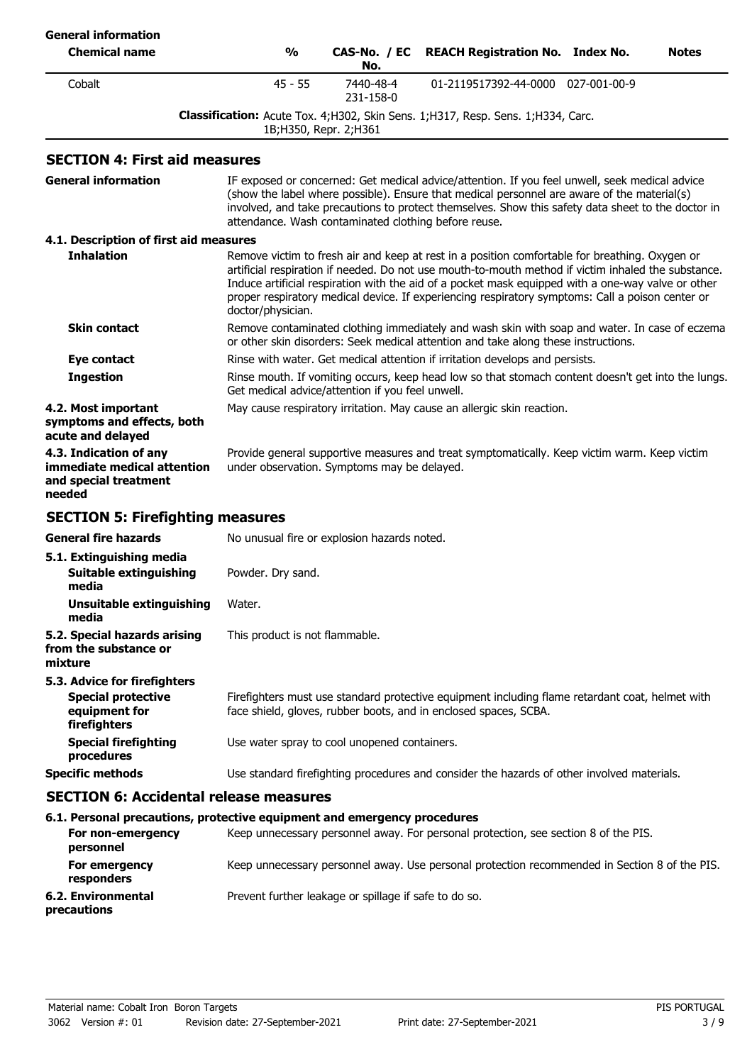| <b>General information</b>                                                                 |                                |                                                      |                                                                                                                                                                                                                                                                                                                                                                                                                 |              |
|--------------------------------------------------------------------------------------------|--------------------------------|------------------------------------------------------|-----------------------------------------------------------------------------------------------------------------------------------------------------------------------------------------------------------------------------------------------------------------------------------------------------------------------------------------------------------------------------------------------------------------|--------------|
| <b>Chemical name</b>                                                                       | $\frac{0}{0}$                  | CAS-No. / EC<br>No.                                  | <b>REACH Registration No. Index No.</b>                                                                                                                                                                                                                                                                                                                                                                         | <b>Notes</b> |
| Cobalt                                                                                     | $45 - 55$                      | 7440-48-4<br>231-158-0                               | 01-2119517392-44-0000 027-001-00-9                                                                                                                                                                                                                                                                                                                                                                              |              |
|                                                                                            |                                | 1B; H350, Repr. 2; H361                              | Classification: Acute Tox. 4; H302, Skin Sens. 1; H317, Resp. Sens. 1; H334, Carc.                                                                                                                                                                                                                                                                                                                              |              |
| <b>SECTION 4: First aid measures</b>                                                       |                                |                                                      |                                                                                                                                                                                                                                                                                                                                                                                                                 |              |
| <b>General information</b>                                                                 |                                | attendance. Wash contaminated clothing before reuse. | IF exposed or concerned: Get medical advice/attention. If you feel unwell, seek medical advice<br>(show the label where possible). Ensure that medical personnel are aware of the material(s)<br>involved, and take precautions to protect themselves. Show this safety data sheet to the doctor in                                                                                                             |              |
| 4.1. Description of first aid measures                                                     |                                |                                                      |                                                                                                                                                                                                                                                                                                                                                                                                                 |              |
| <b>Inhalation</b>                                                                          | doctor/physician.              |                                                      | Remove victim to fresh air and keep at rest in a position comfortable for breathing. Oxygen or<br>artificial respiration if needed. Do not use mouth-to-mouth method if victim inhaled the substance.<br>Induce artificial respiration with the aid of a pocket mask equipped with a one-way valve or other<br>proper respiratory medical device. If experiencing respiratory symptoms: Call a poison center or |              |
| <b>Skin contact</b>                                                                        |                                |                                                      | Remove contaminated clothing immediately and wash skin with soap and water. In case of eczema<br>or other skin disorders: Seek medical attention and take along these instructions.                                                                                                                                                                                                                             |              |
| Eye contact                                                                                |                                |                                                      | Rinse with water. Get medical attention if irritation develops and persists.                                                                                                                                                                                                                                                                                                                                    |              |
| <b>Ingestion</b>                                                                           |                                | Get medical advice/attention if you feel unwell.     | Rinse mouth. If vomiting occurs, keep head low so that stomach content doesn't get into the lungs.                                                                                                                                                                                                                                                                                                              |              |
| 4.2. Most important<br>symptoms and effects, both<br>acute and delayed                     |                                |                                                      | May cause respiratory irritation. May cause an allergic skin reaction.                                                                                                                                                                                                                                                                                                                                          |              |
| 4.3. Indication of any<br>immediate medical attention<br>and special treatment<br>needed   |                                | under observation. Symptoms may be delayed.          | Provide general supportive measures and treat symptomatically. Keep victim warm. Keep victim                                                                                                                                                                                                                                                                                                                    |              |
| <b>SECTION 5: Firefighting measures</b>                                                    |                                |                                                      |                                                                                                                                                                                                                                                                                                                                                                                                                 |              |
| <b>General fire hazards</b>                                                                |                                | No unusual fire or explosion hazards noted.          |                                                                                                                                                                                                                                                                                                                                                                                                                 |              |
| 5.1. Extinguishing media<br>Suitable extinguishing<br>media                                | Powder. Dry sand.              |                                                      |                                                                                                                                                                                                                                                                                                                                                                                                                 |              |
| <b>Unsuitable extinguishing</b><br>media                                                   | Water.                         |                                                      |                                                                                                                                                                                                                                                                                                                                                                                                                 |              |
| 5.2. Special hazards arising<br>from the substance or<br>mixture                           | This product is not flammable. |                                                      |                                                                                                                                                                                                                                                                                                                                                                                                                 |              |
| 5.3. Advice for firefighters<br><b>Special protective</b><br>equipment for<br>firefighters |                                |                                                      | Firefighters must use standard protective equipment including flame retardant coat, helmet with<br>face shield, gloves, rubber boots, and in enclosed spaces, SCBA.                                                                                                                                                                                                                                             |              |
| <b>Special firefighting</b><br>procedures                                                  |                                | Use water spray to cool unopened containers.         |                                                                                                                                                                                                                                                                                                                                                                                                                 |              |
| <b>Specific methods</b>                                                                    |                                |                                                      | Use standard firefighting procedures and consider the hazards of other involved materials.                                                                                                                                                                                                                                                                                                                      |              |
| <b>SECTION 6: Accidental release measures</b>                                              |                                |                                                      |                                                                                                                                                                                                                                                                                                                                                                                                                 |              |
| 6.1. Personal precautions, protective equipment and emergency procedures                   |                                |                                                      |                                                                                                                                                                                                                                                                                                                                                                                                                 |              |
| For non-emergency<br>personnel                                                             |                                |                                                      | Keep unnecessary personnel away. For personal protection, see section 8 of the PIS.                                                                                                                                                                                                                                                                                                                             |              |
| For emergency                                                                              |                                |                                                      | Keep unnecessary personnel away. Use personal protection recommended in Section 8 of the PIS.                                                                                                                                                                                                                                                                                                                   |              |

**responders**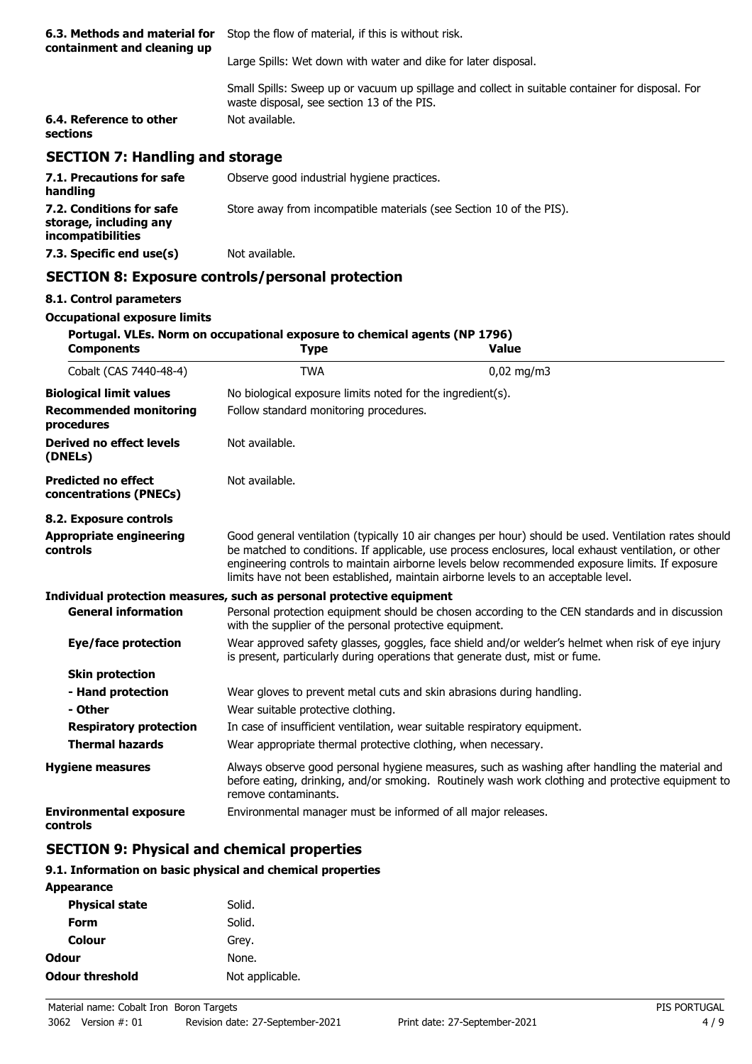| 6.3. Methods and material for<br>containment and cleaning up | Stop the flow of material, if this is without risk.                                                                                            |  |
|--------------------------------------------------------------|------------------------------------------------------------------------------------------------------------------------------------------------|--|
|                                                              | Large Spills: Wet down with water and dike for later disposal.                                                                                 |  |
|                                                              | Small Spills: Sweep up or vacuum up spillage and collect in suitable container for disposal. For<br>waste disposal, see section 13 of the PIS. |  |
| 6.4. Reference to other<br>sections                          | Not available.                                                                                                                                 |  |
| <b>SECTION 7: Handling and storage</b>                       |                                                                                                                                                |  |
| 7.1. Precautions for safe<br>handling                        | Observe good industrial hygiene practices.                                                                                                     |  |
| 7.2. Conditions for safe                                     | Store away from incompatible materials (see Section 10 of the PIS).                                                                            |  |

# **SECTION 8: Exposure controls/personal protection**

**7.3. Specific end use(s)** Not available.

#### **8.1. Control parameters**

**storage, including any incompatibilities**

## **Occupational exposure limits**

| <b>Components</b>                                    | Portugal. VLEs. Norm on occupational exposure to chemical agents (NP 1796)<br><b>Type</b>                                                                                                                                   | <b>Value</b>                                                                                                                                                                                                                                                                                                                                                                                           |  |
|------------------------------------------------------|-----------------------------------------------------------------------------------------------------------------------------------------------------------------------------------------------------------------------------|--------------------------------------------------------------------------------------------------------------------------------------------------------------------------------------------------------------------------------------------------------------------------------------------------------------------------------------------------------------------------------------------------------|--|
| Cobalt (CAS 7440-48-4)                               | <b>TWA</b>                                                                                                                                                                                                                  | $0,02$ mg/m3                                                                                                                                                                                                                                                                                                                                                                                           |  |
| <b>Biological limit values</b>                       | No biological exposure limits noted for the ingredient(s).                                                                                                                                                                  |                                                                                                                                                                                                                                                                                                                                                                                                        |  |
| <b>Recommended monitoring</b><br>procedures          | Follow standard monitoring procedures.                                                                                                                                                                                      |                                                                                                                                                                                                                                                                                                                                                                                                        |  |
| Derived no effect levels<br>(DNELs)                  | Not available.                                                                                                                                                                                                              |                                                                                                                                                                                                                                                                                                                                                                                                        |  |
| <b>Predicted no effect</b><br>concentrations (PNECs) | Not available.                                                                                                                                                                                                              |                                                                                                                                                                                                                                                                                                                                                                                                        |  |
| 8.2. Exposure controls                               |                                                                                                                                                                                                                             |                                                                                                                                                                                                                                                                                                                                                                                                        |  |
| <b>Appropriate engineering</b><br>controls           |                                                                                                                                                                                                                             | Good general ventilation (typically 10 air changes per hour) should be used. Ventilation rates should<br>be matched to conditions. If applicable, use process enclosures, local exhaust ventilation, or other<br>engineering controls to maintain airborne levels below recommended exposure limits. If exposure<br>limits have not been established, maintain airborne levels to an acceptable level. |  |
|                                                      | Individual protection measures, such as personal protective equipment                                                                                                                                                       |                                                                                                                                                                                                                                                                                                                                                                                                        |  |
| <b>General information</b>                           | with the supplier of the personal protective equipment.                                                                                                                                                                     | Personal protection equipment should be chosen according to the CEN standards and in discussion                                                                                                                                                                                                                                                                                                        |  |
| <b>Eye/face protection</b>                           | Wear approved safety glasses, goggles, face shield and/or welder's helmet when risk of eye injury<br>is present, particularly during operations that generate dust, mist or fume.                                           |                                                                                                                                                                                                                                                                                                                                                                                                        |  |
| <b>Skin protection</b>                               |                                                                                                                                                                                                                             |                                                                                                                                                                                                                                                                                                                                                                                                        |  |
| - Hand protection                                    |                                                                                                                                                                                                                             | Wear gloves to prevent metal cuts and skin abrasions during handling.                                                                                                                                                                                                                                                                                                                                  |  |
| - Other                                              | Wear suitable protective clothing.                                                                                                                                                                                          |                                                                                                                                                                                                                                                                                                                                                                                                        |  |
| <b>Respiratory protection</b>                        | In case of insufficient ventilation, wear suitable respiratory equipment.                                                                                                                                                   |                                                                                                                                                                                                                                                                                                                                                                                                        |  |
| <b>Thermal hazards</b>                               | Wear appropriate thermal protective clothing, when necessary.                                                                                                                                                               |                                                                                                                                                                                                                                                                                                                                                                                                        |  |
| <b>Hygiene measures</b>                              | Always observe good personal hygiene measures, such as washing after handling the material and<br>before eating, drinking, and/or smoking. Routinely wash work clothing and protective equipment to<br>remove contaminants. |                                                                                                                                                                                                                                                                                                                                                                                                        |  |
| <b>Environmental exposure</b><br>controls            | Environmental manager must be informed of all major releases.                                                                                                                                                               |                                                                                                                                                                                                                                                                                                                                                                                                        |  |

# **SECTION 9: Physical and chemical properties**

### **9.1. Information on basic physical and chemical properties**

| <b>Appearance</b>      |                 |
|------------------------|-----------------|
| <b>Physical state</b>  | Solid.          |
| Form                   | Solid.          |
| Colour                 | Grey.           |
| Odour                  | None.           |
| <b>Odour threshold</b> | Not applicable. |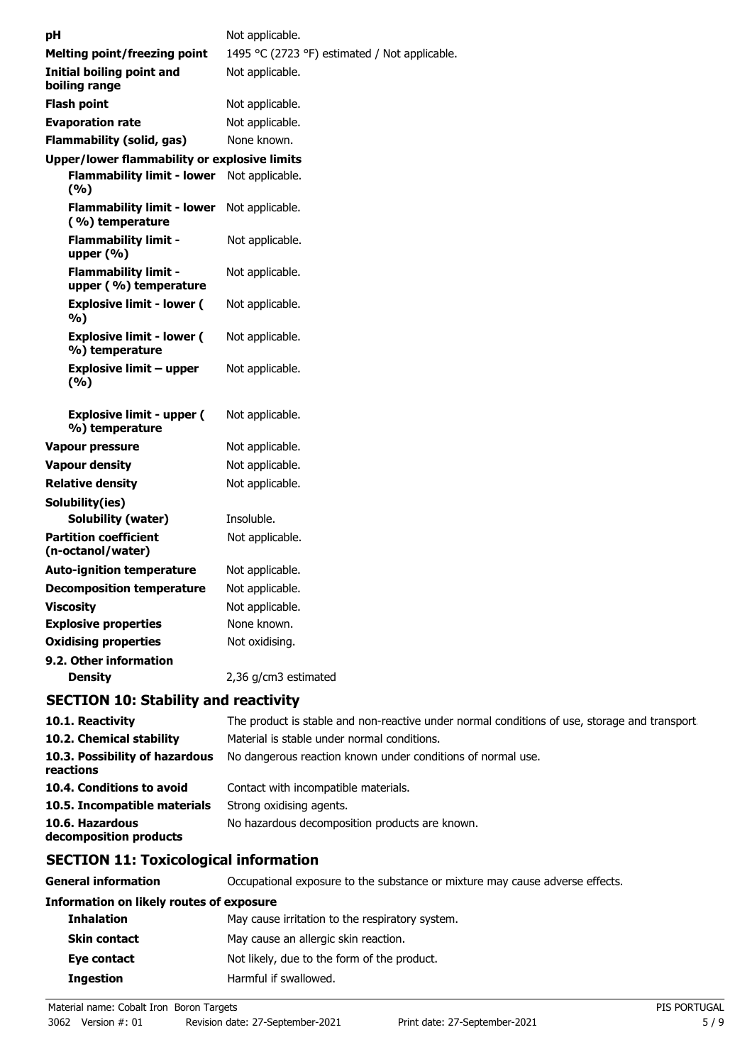| рH                                                   | Not applicable.                               |
|------------------------------------------------------|-----------------------------------------------|
| <b>Melting point/freezing point</b>                  | 1495 °C (2723 °F) estimated / Not applicable. |
| <b>Initial boiling point and</b><br>boiling range    | Not applicable.                               |
| <b>Flash point</b>                                   | Not applicable.                               |
| <b>Evaporation rate</b>                              | Not applicable.                               |
| <b>Flammability (solid, gas)</b>                     | None known.                                   |
| Upper/lower flammability or explosive limits         |                                               |
| <b>Flammability limit - lower</b><br>(%)             | Not applicable.                               |
| <b>Flammability limit - lower</b><br>(%) temperature | Not applicable.                               |
| <b>Flammability limit -</b><br>upper $(\% )$         | Not applicable.                               |
| <b>Flammability limit -</b><br>upper (%) temperature | Not applicable.                               |
| <b>Explosive limit - lower (</b><br>%)               | Not applicable.                               |
| <b>Explosive limit - lower (</b><br>%) temperature   | Not applicable.                               |
| <b>Explosive limit – upper</b><br>(%)                | Not applicable.                               |
| <b>Explosive limit - upper (</b><br>%) temperature   | Not applicable.                               |
| Vapour pressure                                      | Not applicable.                               |
| <b>Vapour density</b>                                | Not applicable.                               |
| <b>Relative density</b>                              | Not applicable.                               |
| Solubility(ies)                                      |                                               |
| <b>Solubility (water)</b>                            | Insoluble.                                    |
| <b>Partition coefficient</b><br>(n-octanol/water)    | Not applicable.                               |
| <b>Auto-ignition temperature</b>                     | Not applicable.                               |
| <b>Decomposition temperature</b>                     | Not applicable.                               |
| <b>Viscosity</b>                                     | Not applicable.                               |
| <b>Explosive properties</b>                          | None known.                                   |
| <b>Oxidising properties</b>                          | Not oxidising.                                |
| 9.2. Other information                               |                                               |
| <b>Density</b>                                       | 2,36 g/cm3 estimated                          |

# **SECTION 10: Stability and reactivity**

| 10.1. Reactivity                            | The product is stable and non-reactive under normal conditions of use, storage and transport. |
|---------------------------------------------|-----------------------------------------------------------------------------------------------|
| 10.2. Chemical stability                    | Material is stable under normal conditions.                                                   |
| 10.3. Possibility of hazardous<br>reactions | No dangerous reaction known under conditions of normal use.                                   |
| 10.4. Conditions to avoid                   | Contact with incompatible materials.                                                          |
| 10.5. Incompatible materials                | Strong oxidising agents.                                                                      |
| 10.6. Hazardous<br>decomposition products   | No hazardous decomposition products are known.                                                |

# **SECTION 11: Toxicological information**

**General information CCCUPATION** Occupational exposure to the substance or mixture may cause adverse effects.

# **Information on likely routes of exposure**

| <b>Inhalation</b>   | May cause irritation to the respiratory system. |
|---------------------|-------------------------------------------------|
| <b>Skin contact</b> | May cause an allergic skin reaction.            |
| Eye contact         | Not likely, due to the form of the product.     |
| <b>Ingestion</b>    | Harmful if swallowed.                           |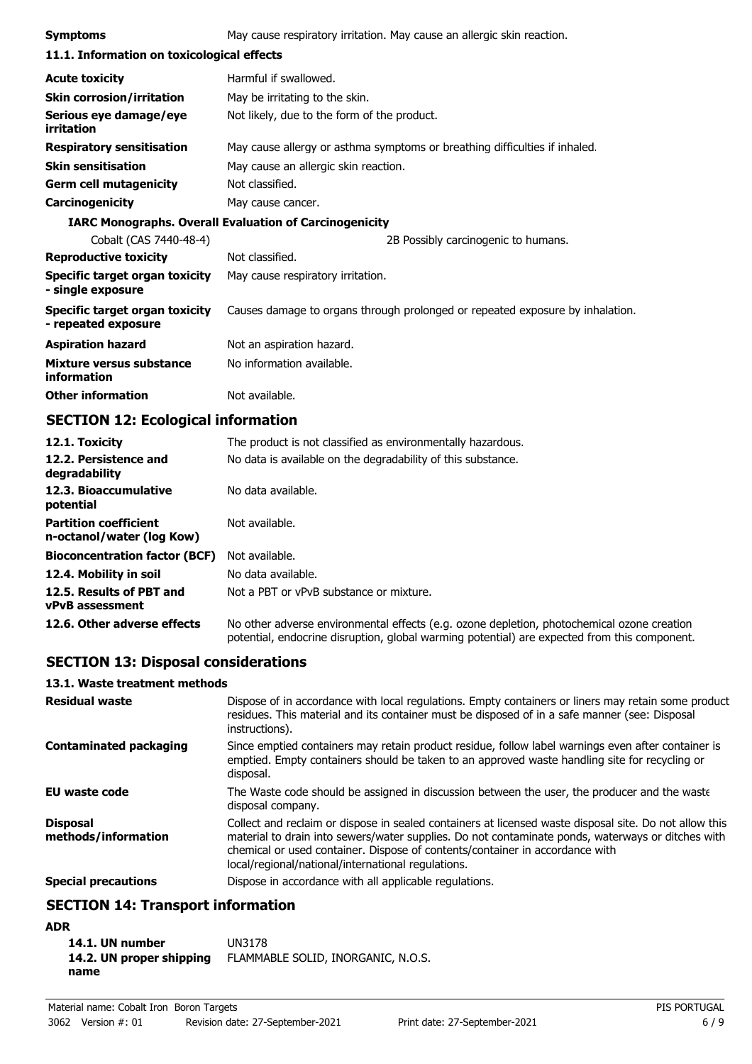| <b>Symptoms</b>                                       | May cause respiratory irritation. May cause an allergic skin reaction.        |  |
|-------------------------------------------------------|-------------------------------------------------------------------------------|--|
| 11.1. Information on toxicological effects            |                                                                               |  |
| <b>Acute toxicity</b>                                 | Harmful if swallowed.                                                         |  |
| <b>Skin corrosion/irritation</b>                      | May be irritating to the skin.                                                |  |
| Serious eye damage/eye<br>irritation                  | Not likely, due to the form of the product.                                   |  |
| <b>Respiratory sensitisation</b>                      | May cause allergy or asthma symptoms or breathing difficulties if inhaled.    |  |
| <b>Skin sensitisation</b>                             | May cause an allergic skin reaction.                                          |  |
| <b>Germ cell mutagenicity</b>                         | Not classified.                                                               |  |
| <b>Carcinogenicity</b>                                | May cause cancer.                                                             |  |
|                                                       | <b>IARC Monographs. Overall Evaluation of Carcinogenicity</b>                 |  |
| Cobalt (CAS 7440-48-4)                                | 2B Possibly carcinogenic to humans.                                           |  |
| <b>Reproductive toxicity</b>                          | Not classified.                                                               |  |
| Specific target organ toxicity<br>- single exposure   | May cause respiratory irritation.                                             |  |
| Specific target organ toxicity<br>- repeated exposure | Causes damage to organs through prolonged or repeated exposure by inhalation. |  |
| <b>Aspiration hazard</b>                              | Not an aspiration hazard.                                                     |  |
| Mixture versus substance<br>information               | No information available.                                                     |  |
| <b>Other information</b>                              | Not available.                                                                |  |

# **SECTION 12: Ecological information**

| 12.1. Toxicity                                            | The product is not classified as environmentally hazardous.                                                                                                                                |
|-----------------------------------------------------------|--------------------------------------------------------------------------------------------------------------------------------------------------------------------------------------------|
| 12.2. Persistence and<br>degradability                    | No data is available on the degradability of this substance.                                                                                                                               |
| 12.3. Bioaccumulative<br>potential                        | No data available.                                                                                                                                                                         |
| <b>Partition coefficient</b><br>n-octanol/water (log Kow) | Not available.                                                                                                                                                                             |
| <b>Bioconcentration factor (BCF)</b>                      | Not available.                                                                                                                                                                             |
| 12.4. Mobility in soil                                    | No data available.                                                                                                                                                                         |
| 12.5. Results of PBT and<br><b>vPvB</b> assessment        | Not a PBT or vPvB substance or mixture.                                                                                                                                                    |
| 12.6. Other adverse effects                               | No other adverse environmental effects (e.g. ozone depletion, photochemical ozone creation<br>potential, endocrine disruption, global warming potential) are expected from this component. |

# **SECTION 13: Disposal considerations**

# **13.1. Waste treatment methods**

| <b>Residual waste</b>                  | Dispose of in accordance with local regulations. Empty containers or liners may retain some product<br>residues. This material and its container must be disposed of in a safe manner (see: Disposal<br>instructions).                                                                                                                            |
|----------------------------------------|---------------------------------------------------------------------------------------------------------------------------------------------------------------------------------------------------------------------------------------------------------------------------------------------------------------------------------------------------|
| <b>Contaminated packaging</b>          | Since emptied containers may retain product residue, follow label warnings even after container is<br>emptied. Empty containers should be taken to an approved waste handling site for recycling or<br>disposal.                                                                                                                                  |
| <b>EU waste code</b>                   | The Waste code should be assigned in discussion between the user, the producer and the waste<br>disposal company.                                                                                                                                                                                                                                 |
| <b>Disposal</b><br>methods/information | Collect and reclaim or dispose in sealed containers at licensed waste disposal site. Do not allow this<br>material to drain into sewers/water supplies. Do not contaminate ponds, waterways or ditches with<br>chemical or used container. Dispose of contents/container in accordance with<br>local/regional/national/international regulations. |
| <b>Special precautions</b>             | Dispose in accordance with all applicable regulations.                                                                                                                                                                                                                                                                                            |

# **SECTION 14: Transport information**

# **ADR**

| 14.1. UN number          | UN3178                             |
|--------------------------|------------------------------------|
| 14.2. UN proper shipping | FLAMMABLE SOLID, INORGANIC, N.O.S. |
| name                     |                                    |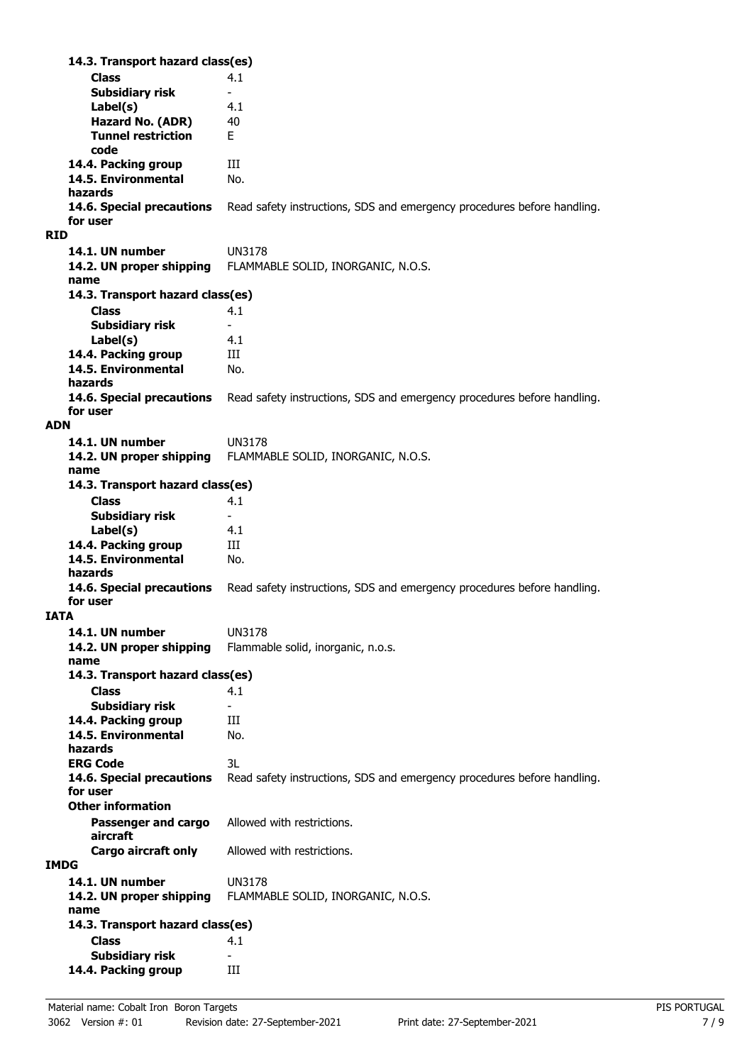**Class** 4.1 **14.3. Transport hazard class(es) Subsidiary risk Label(s)** 4.1 **Hazard No. (ADR)** 40 **Tunnel restriction** E **code 14.4. Packing group III 14.5. Environmental** No. **hazards 14.6. Special precautions** Read safety instructions, SDS and emergency procedures before handling. **for user RID 14.1. UN number** UN3178 **14.2. UN proper shipping** FLAMMABLE SOLID, INORGANIC, N.O.S. **name Class** 4.1 **14.3. Transport hazard class(es) Subsidiary risk Label(s)** 4.1 **14.4. Packing group III 14.5. Environmental** No. **hazards 14.6. Special precautions** Read safety instructions, SDS and emergency procedures before handling. **for user ADN 14.1. UN number** UN3178 **14.2. UN proper shipping** FLAMMABLE SOLID, INORGANIC, N.O.S. **name Class** 4.1 **14.3. Transport hazard class(es) Subsidiary risk Label(s)** 4.1 14.4. Packing group **III 14.5. Environmental** No. **hazards 14.6. Special precautions** Read safety instructions, SDS and emergency procedures before handling. **for user IATA 14.1. UN number** UN3178 **14.2. UN proper shipping** Flammable solid, inorganic, n.o.s. **name Class** 4.1 **14.3. Transport hazard class(es) Subsidiary risk 14.4. Packing group III 14.5. Environmental** No. **hazards ERG Code** 3L **14.6. Special precautions** Read safety instructions, SDS and emergency procedures before handling. **for user Passenger and cargo** Allowed with restrictions. **aircraft Other information Cargo aircraft only** Allowed with restrictions. **IMDG 14.1. UN number** UN3178 **14.2. UN proper shipping** FLAMMABLE SOLID, INORGANIC, N.O.S. **name Class** 4.1 **14.3. Transport hazard class(es) Subsidiary risk 14.4. Packing group III**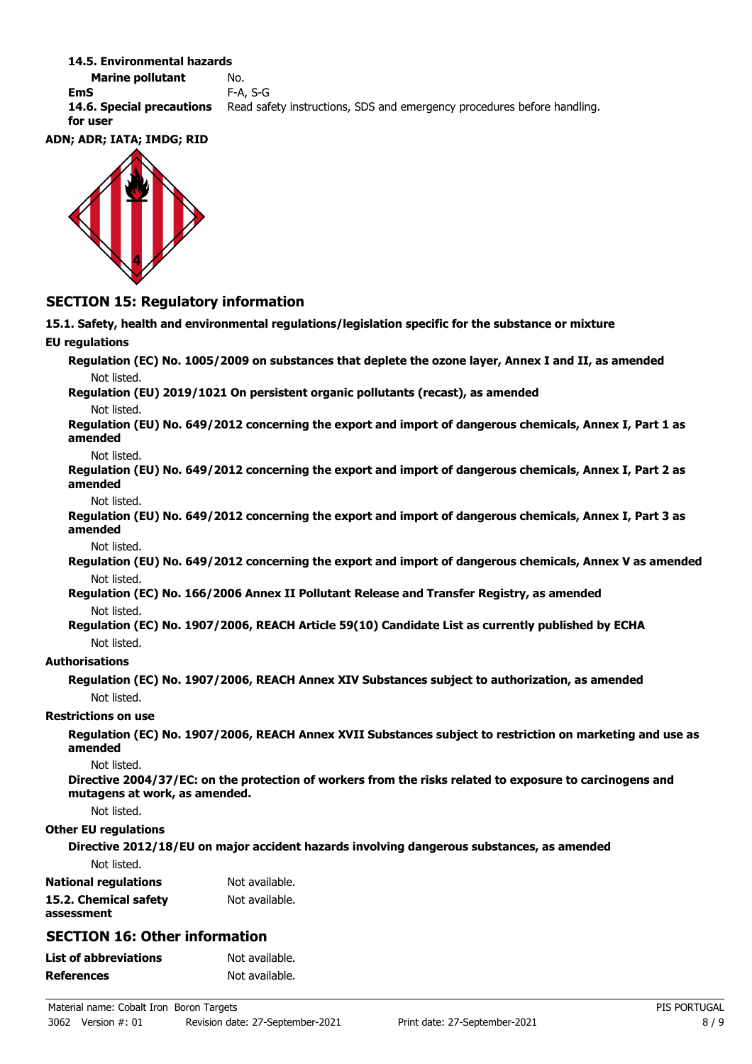#### **14.5. Environmental hazards**

**Marine pollutant** No. **EmS** F-A, S-G **14.6. Special precautions** Read safety instructions, SDS and emergency procedures before handling. **for user**

### **ADN; ADR; IATA; IMDG; RID**



# **SECTION 15: Regulatory information**

**15.1. Safety, health and environmental regulations/legislation specific for the substance or mixture EU regulations Regulation (EC) No. 1005/2009 on substances that deplete the ozone layer, Annex I and II, as amended** Not listed. **Regulation (EU) 2019/1021 On persistent organic pollutants (recast), as amended** Not listed. **Regulation (EU) No. 649/2012 concerning the export and import of dangerous chemicals, Annex I, Part 1 as amended** Not listed. **Regulation (EU) No. 649/2012 concerning the export and import of dangerous chemicals, Annex I, Part 2 as amended** Not listed. **Regulation (EU) No. 649/2012 concerning the export and import of dangerous chemicals, Annex I, Part 3 as amended** Not listed. **Regulation (EU) No. 649/2012 concerning the export and import of dangerous chemicals, Annex V as amended** Not listed. **Regulation (EC) No. 166/2006 Annex II Pollutant Release and Transfer Registry, as amended** Not listed. **Regulation (EC) No. 1907/2006, REACH Article 59(10) Candidate List as currently published by ECHA** Not listed. **Authorisations Regulation (EC) No. 1907/2006, REACH Annex XIV Substances subject to authorization, as amended** Not listed. **Restrictions on use Regulation (EC) No. 1907/2006, REACH Annex XVII Substances subject to restriction on marketing and use as amended** Not listed. **Directive 2004/37/EC: on the protection of workers from the risks related to exposure to carcinogens and mutagens at work, as amended.** Not listed. **Other EU regulations Directive 2012/18/EU on major accident hazards involving dangerous substances, as amended** Not listed. **National regulations** Not available. **15.2. Chemical safety** Not available. **assessment SECTION 16: Other information List of abbreviations** Not available. **References** Not available.